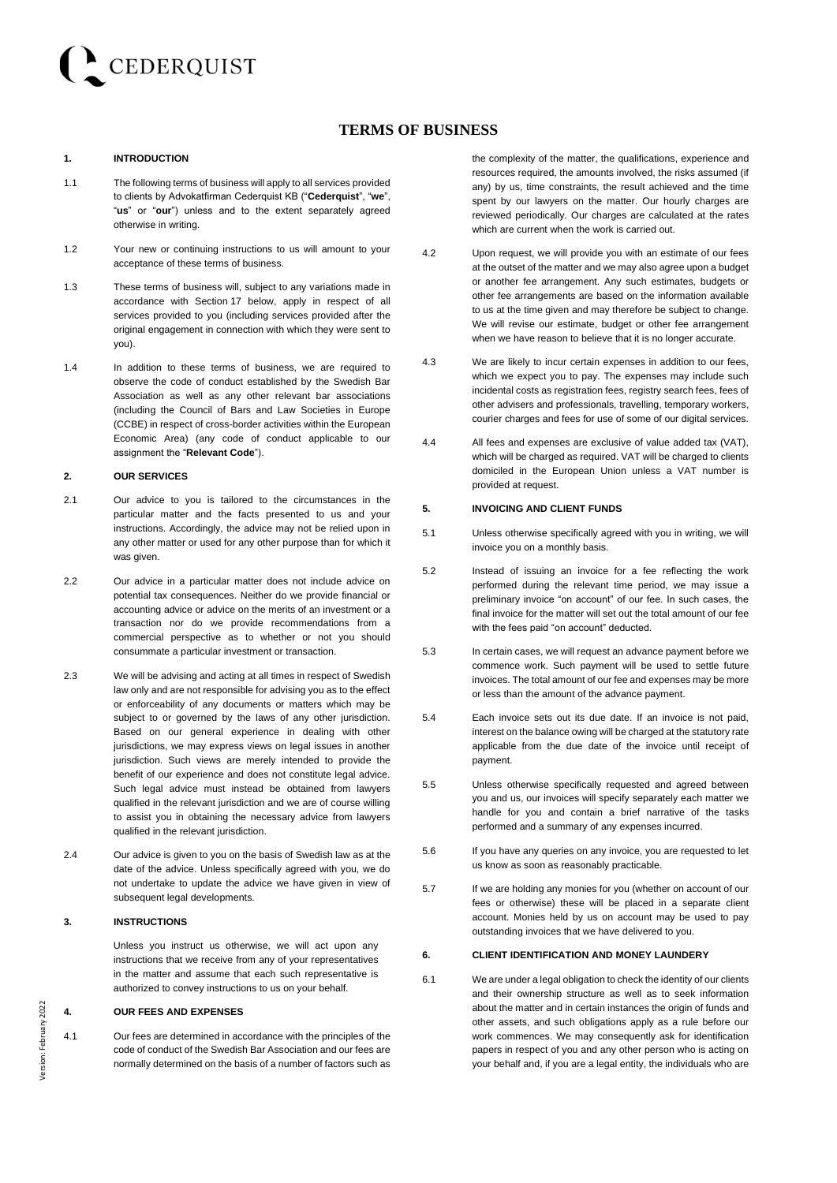

# **TERMS OF BUSINESS**

#### **1. INTRODUCTION**

- 1.1 The following terms of business will apply to all services provided to clients by Advokatfirman Cederquist KB ("**Cederquist**", "**we**", "**us**" or "**our**") unless and to the extent separately agreed otherwise in writing.
- 1.2 Your new or continuing instructions to us will amount to your acceptance of these terms of business.
- 1.3 These terms of business will, subject to any variations made in accordance with Section [17](#page-2-0) below, apply in respect of all services provided to you (including services provided after the original engagement in connection with which they were sent to you).
- 1.4 In addition to these terms of business, we are required to observe the code of conduct established by the Swedish Bar Association as well as any other relevant bar associations (including the Council of Bars and Law Societies in Europe (CCBE) in respect of cross-border activities within the European Economic Area) (any code of conduct applicable to our assignment the "**Relevant Code**").

#### **2. OUR SERVICES**

- 2.1 Our advice to you is tailored to the circumstances in the particular matter and the facts presented to us and your instructions. Accordingly, the advice may not be relied upon in any other matter or used for any other purpose than for which it was given.
- 2.2 Our advice in a particular matter does not include advice on potential tax consequences. Neither do we provide financial or accounting advice or advice on the merits of an investment or a transaction nor do we provide recommendations from a commercial perspective as to whether or not you should consummate a particular investment or transaction.
- 2.3 We will be advising and acting at all times in respect of Swedish law only and are not responsible for advising you as to the effect or enforceability of any documents or matters which may be subject to or governed by the laws of any other jurisdiction. Based on our general experience in dealing with other jurisdictions, we may express views on legal issues in another jurisdiction. Such views are merely intended to provide the benefit of our experience and does not constitute legal advice. Such legal advice must instead be obtained from lawyers qualified in the relevant jurisdiction and we are of course willing to assist you in obtaining the necessary advice from lawyers qualified in the relevant jurisdiction.
- 2.4 Our advice is given to you on the basis of Swedish law as at the date of the advice. Unless specifically agreed with you, we do not undertake to update the advice we have given in view of subsequent legal developments.

### **3. INSTRUCTIONS**

Unless you instruct us otherwise, we will act upon any instructions that we receive from any of your representatives in the matter and assume that each such representative is authorized to convey instructions to us on your behalf.

# **4. OUR FEES AND EXPENSES**

4.1 Our fees are determined in accordance with the principles of the code of conduct of the Swedish Bar Association and our fees are normally determined on the basis of a number of factors such as the complexity of the matter, the qualifications, experience and resources required, the amounts involved, the risks assumed (if any) by us, time constraints, the result achieved and the time spent by our lawyers on the matter. Our hourly charges are reviewed periodically. Our charges are calculated at the rates which are current when the work is carried out.

- 4.2 Upon request, we will provide you with an estimate of our fees at the outset of the matter and we may also agree upon a budget or another fee arrangement. Any such estimates, budgets or other fee arrangements are based on the information available to us at the time given and may therefore be subject to change. We will revise our estimate, budget or other fee arrangement when we have reason to believe that it is no longer accurate.
- 4.3 We are likely to incur certain expenses in addition to our fees, which we expect you to pay. The expenses may include such incidental costs as registration fees, registry search fees, fees of other advisers and professionals, travelling, temporary workers, courier charges and fees for use of some of our digital services.
- 4.4 All fees and expenses are exclusive of value added tax (VAT), which will be charged as required. VAT will be charged to clients domiciled in the European Union unless a VAT number is provided at request.

#### **5. INVOICING AND CLIENT FUNDS**

- 5.1 Unless otherwise specifically agreed with you in writing, we will invoice you on a monthly basis.
- 5.2 Instead of issuing an invoice for a fee reflecting the work performed during the relevant time period, we may issue a preliminary invoice "on account" of our fee. In such cases, the final invoice for the matter will set out the total amount of our fee with the fees paid "on account" deducted.
- 5.3 In certain cases, we will request an advance payment before we commence work. Such payment will be used to settle future invoices. The total amount of our fee and expenses may be more or less than the amount of the advance payment.
- 5.4 Each invoice sets out its due date. If an invoice is not paid, interest on the balance owing will be charged at the statutory rate applicable from the due date of the invoice until receipt of payment.
- 5.5 Unless otherwise specifically requested and agreed between you and us, our invoices will specify separately each matter we handle for you and contain a brief narrative of the tasks performed and a summary of any expenses incurred.
- 5.6 If you have any queries on any invoice, you are requested to let us know as soon as reasonably practicable.
- 5.7 If we are holding any monies for you (whether on account of our fees or otherwise) these will be placed in a separate client account. Monies held by us on account may be used to pay outstanding invoices that we have delivered to you.

### **6. CLIENT IDENTIFICATION AND MONEY LAUNDERY**

<span id="page-0-0"></span>6.1 We are under a legal obligation to check the identity of our clients and their ownership structure as well as to seek information about the matter and in certain instances the origin of funds and other assets, and such obligations apply as a rule before our work commences. We may consequently ask for identification papers in respect of you and any other person who is acting on your behalf and, if you are a legal entity, the individuals who are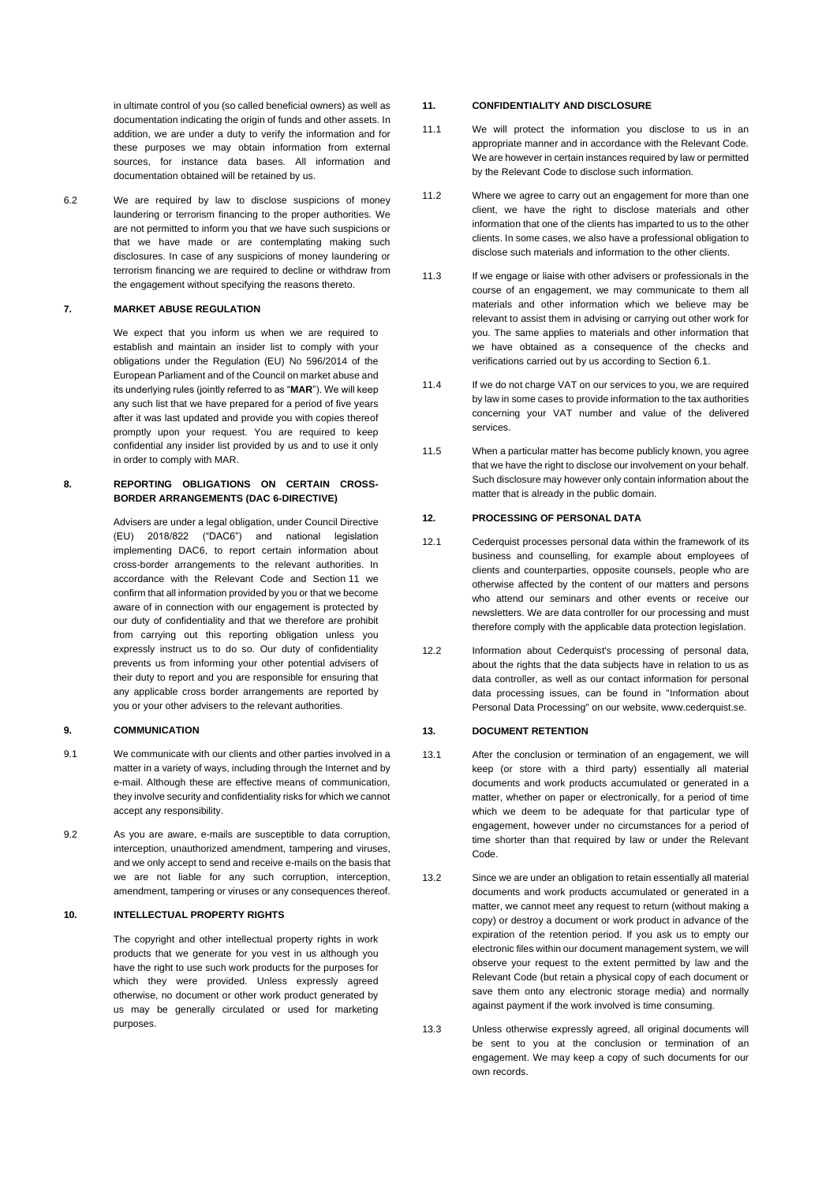in ultimate control of you (so called beneficial owners) as well as documentation indicating the origin of funds and other assets. In addition, we are under a duty to verify the information and for these purposes we may obtain information from external sources, for instance data bases. All information and documentation obtained will be retained by us.

<span id="page-1-0"></span>6.2 We are required by law to disclose suspicions of money laundering or terrorism financing to the proper authorities. We are not permitted to inform you that we have such suspicions or that we have made or are contemplating making such disclosures. In case of any suspicions of money laundering or terrorism financing we are required to decline or withdraw from the engagement without specifying the reasons thereto.

### **7. MARKET ABUSE REGULATION**

We expect that you inform us when we are required to establish and maintain an insider list to comply with your obligations under the Regulation (EU) No 596/2014 of the European Parliament and of the Council on market abuse and its underlying rules (jointly referred to as "**MAR**"). We will keep any such list that we have prepared for a period of five years after it was last updated and provide you with copies thereof promptly upon your request. You are required to keep confidential any insider list provided by us and to use it only in order to comply with MAR.

### **8. REPORTING OBLIGATIONS ON CERTAIN CROSS-BORDER ARRANGEMENTS (DAC 6-DIRECTIVE)**

Advisers are under a legal obligation, under Council Directive (EU) 2018/822 ("DAC6") and national legislation implementing DAC6, to report certain information about cross-border arrangements to the relevant authorities. In accordance with the Relevant Code and Section 11 we confirm that all information provided by you or that we become aware of in connection with our engagement is protected by our duty of confidentiality and that we therefore are prohibit from carrying out this reporting obligation unless you expressly instruct us to do so. Our duty of confidentiality prevents us from informing your other potential advisers of their duty to report and you are responsible for ensuring that any applicable cross border arrangements are reported by you or your other advisers to the relevant authorities.

### **9. COMMUNICATION**

- 9.1 We communicate with our clients and other parties involved in a matter in a variety of ways, including through the Internet and by e-mail. Although these are effective means of communication, they involve security and confidentiality risks for which we cannot accept any responsibility.
- 9.2 As you are aware, e-mails are susceptible to data corruption, interception, unauthorized amendment, tampering and viruses, and we only accept to send and receive e-mails on the basis that we are not liable for any such corruption, interception, amendment, tampering or viruses or any consequences thereof.

# **10. INTELLECTUAL PROPERTY RIGHTS**

The copyright and other intellectual property rights in work products that we generate for you vest in us although you have the right to use such work products for the purposes for which they were provided. Unless expressly agreed otherwise, no document or other work product generated by us may be generally circulated or used for marketing purposes.

### **11. CONFIDENTIALITY AND DISCLOSURE**

- 11.1 We will protect the information you disclose to us in an appropriate manner and in accordance with the Relevant Code. We are however in certain instances required by law or permitted by the Relevant Code to disclose such information.
- 11.2 Where we agree to carry out an engagement for more than one client, we have the right to disclose materials and other information that one of the clients has imparted to us to the other clients. In some cases, we also have a professional obligation to disclose such materials and information to the other clients.
- 11.3 If we engage or liaise with other advisers or professionals in the course of an engagement, we may communicate to them all materials and other information which we believe may be relevant to assist them in advising or carrying out other work for you. The same applies to materials and other information that we have obtained as a consequence of the checks and verifications carried out by us according to Section [6.1.](#page-0-0)
- 11.4 If we do not charge VAT on our services to you, we are required by law in some cases to provide information to the tax authorities concerning your VAT number and value of the delivered services.
- 11.5 When a particular matter has become publicly known, you agree that we have the right to disclose our involvement on your behalf. Such disclosure may however only contain information about the matter that is already in the public domain.

### **12. PROCESSING OF PERSONAL DATA**

- 12.1 Cederquist processes personal data within the framework of its business and counselling, for example about employees of clients and counterparties, opposite counsels, people who are otherwise affected by the content of our matters and persons who attend our seminars and other events or receive our newsletters. We are data controller for our processing and must therefore comply with the applicable data protection legislation.
- 12.2 Information about Cederquist's processing of personal data, about the rights that the data subjects have in relation to us as data controller, as well as our contact information for personal data processing issues, can be found in "Information about Personal Data Processing" on our website, www.cederquist.se.

## **13. DOCUMENT RETENTION**

- 13.1 After the conclusion or termination of an engagement, we will keep (or store with a third party) essentially all material documents and work products accumulated or generated in a matter, whether on paper or electronically, for a period of time which we deem to be adequate for that particular type of engagement, however under no circumstances for a period of time shorter than that required by law or under the Relevant Code.
- 13.2 Since we are under an obligation to retain essentially all material documents and work products accumulated or generated in a matter, we cannot meet any request to return (without making a copy) or destroy a document or work product in advance of the expiration of the retention period. If you ask us to empty our electronic files within our document management system, we will observe your request to the extent permitted by law and the Relevant Code (but retain a physical copy of each document or save them onto any electronic storage media) and normally against payment if the work involved is time consuming.
- 13.3 Unless otherwise expressly agreed, all original documents will be sent to you at the conclusion or termination of an engagement. We may keep a copy of such documents for our own records.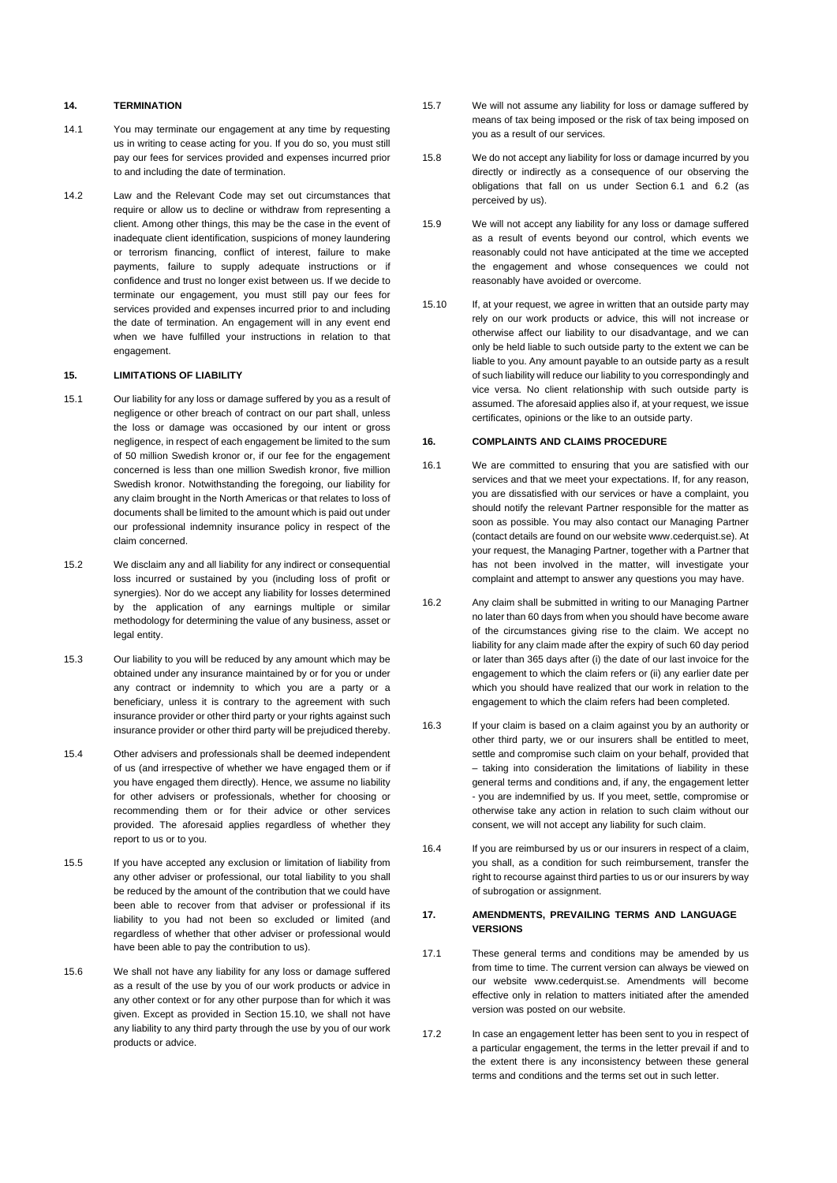### **14. TERMINATION**

- 14.1 You may terminate our engagement at any time by requesting us in writing to cease acting for you. If you do so, you must still pay our fees for services provided and expenses incurred prior to and including the date of termination.
- 14.2 Law and the Relevant Code may set out circumstances that require or allow us to decline or withdraw from representing a client. Among other things, this may be the case in the event of inadequate client identification, suspicions of money laundering or terrorism financing, conflict of interest, failure to make payments, failure to supply adequate instructions or if confidence and trust no longer exist between us. If we decide to terminate our engagement, you must still pay our fees for services provided and expenses incurred prior to and including the date of termination. An engagement will in any event end when we have fulfilled your instructions in relation to that engagement.

### **15. LIMITATIONS OF LIABILITY**

- 15.1 Our liability for any loss or damage suffered by you as a result of negligence or other breach of contract on our part shall, unless the loss or damage was occasioned by our intent or gross negligence, in respect of each engagement be limited to the sum of 50 million Swedish kronor or, if our fee for the engagement concerned is less than one million Swedish kronor, five million Swedish kronor. Notwithstanding the foregoing, our liability for any claim brought in the North Americas or that relates to loss of documents shall be limited to the amount which is paid out under our professional indemnity insurance policy in respect of the claim concerned.
- 15.2 We disclaim any and all liability for any indirect or consequential loss incurred or sustained by you (including loss of profit or synergies). Nor do we accept any liability for losses determined by the application of any earnings multiple or similar methodology for determining the value of any business, asset or legal entity
- 15.3 Our liability to you will be reduced by any amount which may be obtained under any insurance maintained by or for you or under any contract or indemnity to which you are a party or a beneficiary, unless it is contrary to the agreement with such insurance provider or other third party or your rights against such insurance provider or other third party will be prejudiced thereby.
- 15.4 Other advisers and professionals shall be deemed independent of us (and irrespective of whether we have engaged them or if you have engaged them directly). Hence, we assume no liability for other advisers or professionals, whether for choosing or recommending them or for their advice or other services provided. The aforesaid applies regardless of whether they report to us or to you.
- 15.5 If you have accepted any exclusion or limitation of liability from any other adviser or professional, our total liability to you shall be reduced by the amount of the contribution that we could have been able to recover from that adviser or professional if its liability to you had not been so excluded or limited (and regardless of whether that other adviser or professional would have been able to pay the contribution to us).
- 15.6 We shall not have any liability for any loss or damage suffered as a result of the use by you of our work products or advice in any other context or for any other purpose than for which it was given. Except as provided in Section [15.10,](#page-2-1) we shall not have any liability to any third party through the use by you of our work products or advice.
- 15.7 We will not assume any liability for loss or damage suffered by means of tax being imposed or the risk of tax being imposed on you as a result of our services.
- 15.8 We do not accept any liability for loss or damage incurred by you directly or indirectly as a consequence of our observing the obligations that fall on us under Section [6.1](#page-0-0) and [6.2](#page-1-0) (as perceived by us).
- 15.9 We will not accept any liability for any loss or damage suffered as a result of events beyond our control, which events we reasonably could not have anticipated at the time we accepted the engagement and whose consequences we could not reasonably have avoided or overcome.
- <span id="page-2-1"></span>15.10 If, at your request, we agree in written that an outside party may rely on our work products or advice, this will not increase or otherwise affect our liability to our disadvantage, and we can only be held liable to such outside party to the extent we can be liable to you. Any amount payable to an outside party as a result of such liability will reduce our liability to you correspondingly and vice versa. No client relationship with such outside party is assumed. The aforesaid applies also if, at your request, we issue certificates, opinions or the like to an outside party.

### **16. COMPLAINTS AND CLAIMS PROCEDURE**

- 16.1 We are committed to ensuring that you are satisfied with our services and that we meet your expectations. If, for any reason, you are dissatisfied with our services or have a complaint, you should notify the relevant Partner responsible for the matter as soon as possible. You may also contact our Managing Partner (contact details are found on our website www.cederquist.se). At your request, the Managing Partner, together with a Partner that has not been involved in the matter, will investigate your complaint and attempt to answer any questions you may have.
- 16.2 Any claim shall be submitted in writing to our Managing Partner no later than 60 days from when you should have become aware of the circumstances giving rise to the claim. We accept no liability for any claim made after the expiry of such 60 day period or later than 365 days after (i) the date of our last invoice for the engagement to which the claim refers or (ii) any earlier date per which you should have realized that our work in relation to the engagement to which the claim refers had been completed.
- 16.3 If your claim is based on a claim against you by an authority or other third party, we or our insurers shall be entitled to meet, settle and compromise such claim on your behalf, provided that – taking into consideration the limitations of liability in these general terms and conditions and, if any, the engagement letter - you are indemnified by us. If you meet, settle, compromise or otherwise take any action in relation to such claim without our consent, we will not accept any liability for such claim.
- 16.4 If you are reimbursed by us or our insurers in respect of a claim, you shall, as a condition for such reimbursement, transfer the right to recourse against third parties to us or our insurers by way of subrogation or assignment.

### <span id="page-2-0"></span>**17. AMENDMENTS, PREVAILING TERMS AND LANGUAGE VERSIONS**

- 17.1 These general terms and conditions may be amended by us from time to time. The current version can always be viewed on our website www.cederquist.se. Amendments will become effective only in relation to matters initiated after the amended version was posted on our website.
- 17.2 In case an engagement letter has been sent to you in respect of a particular engagement, the terms in the letter prevail if and to the extent there is any inconsistency between these general terms and conditions and the terms set out in such letter.